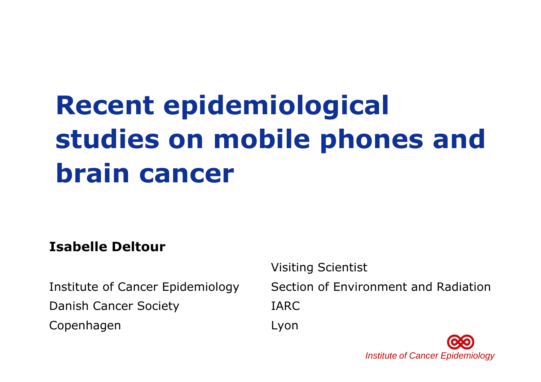# **Recent epidemiological studies on mobile phones and brain cancer**

#### **Isabelle Deltour**

Institute of Cancer EpidemiologyDanish Cancer Society

Copenhagen

Visiting Scientist

Section of Environment and RadiationIARCLyon

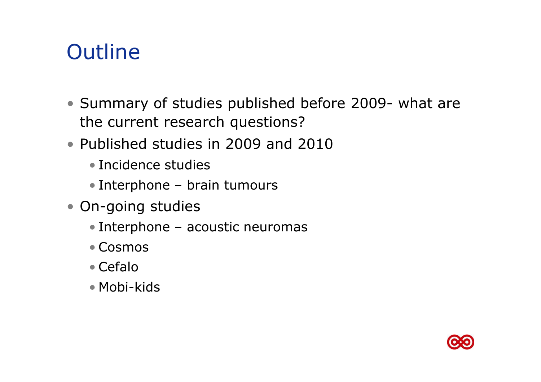## **Outline**

- Summary of studies published before 2009- what are<br>the current research questions? the current research questions?
- Published studies in 2009 and 2010
	- Incidence studies
	- Interphone brain tumours
- On-going studies
	- Interphone acoustic neuromas
	- Cosmos
	- Cefalo
	- Mobi-kids

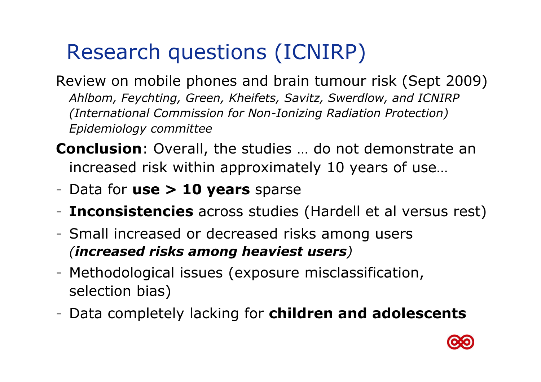# Research questions (ICNIRP)

Review on mobile phones and brain tumour risk (Sept 2009) *Ahlbom, Feychting, Green, Kheifets, Savitz, Swerdlow, and ICNIRP (International Commission for Non-Ionizing Radiation Protection) Epidemiology committee* 

**Conclusion**: Overall, the studies … do not demonstrate an increased risk within approximately 10 years of use…

- Data for **use > 10 years** sparse
- **Inconsistencies** across studies (Hardell et al versus rest)
- Small increased or decreased risks among users *(increased risks among heaviest users)*
- Methodological issues (exposure misclassification, selection bias)
- Data completely lacking for **children and adolescents**

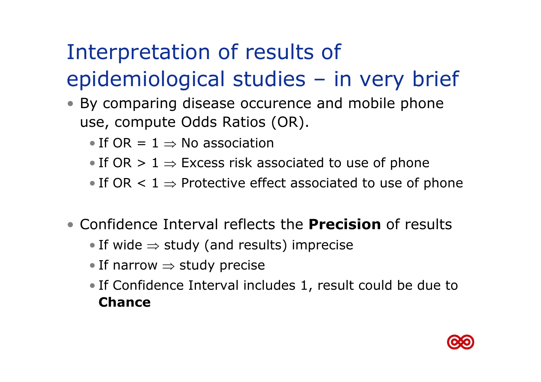# Interpretation of results of epidemiological studies – in very brief

- By comparing disease occurence and mobile phone use, compute Odds Ratios (OR).
	- If  $OR = 1 \Rightarrow No$  association
	- If OR  $> 1 \Rightarrow$  Excess risk associated to use of phone
	- If OR  $< 1 \Rightarrow$  Protective effect associated to use of phone
- Confidence Interval reflects the **Precision** of results
	- If wide ⇒ study (and results) imprecise<br>F
	- If narrow ⇒ study precise
	- If Confidence Interval includes 1, result could be due to **Chance**

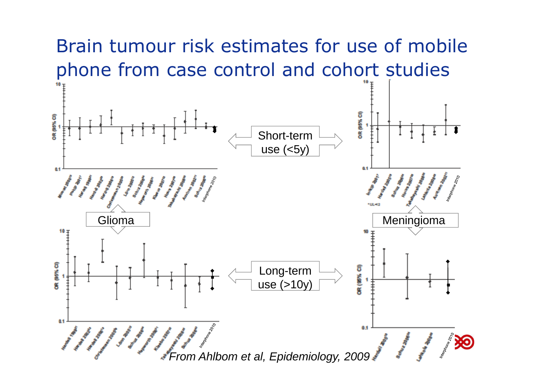### Brain tumour risk estimates for use of mobile phone from case control and cohort studies

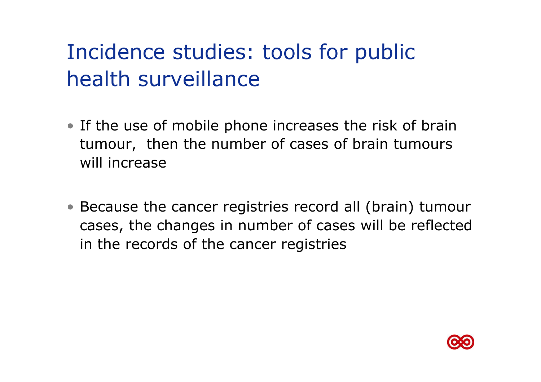# Incidence studies: tools for public health surveillance

- If the use of mobile phone increases the risk of brain tumour, then the number of cases of brain tumours will increase
- Because the cancer registries record all (brain) tumour cases, the changes in number of cases will be reflected in the records of the cancer registries

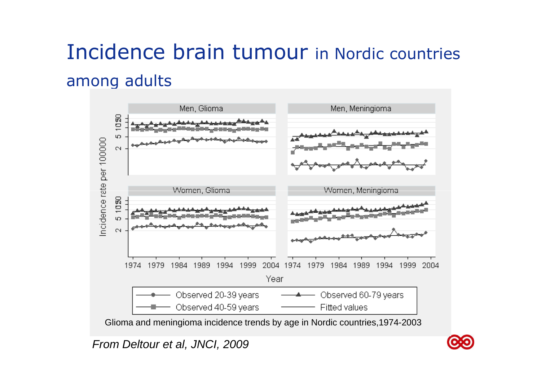# Incidence brain tumour in Nordic countries among adults



Glioma and meningioma incidence trends by age in Nordic countries,1974-2003

From Deltour et al, JNCI, 2009

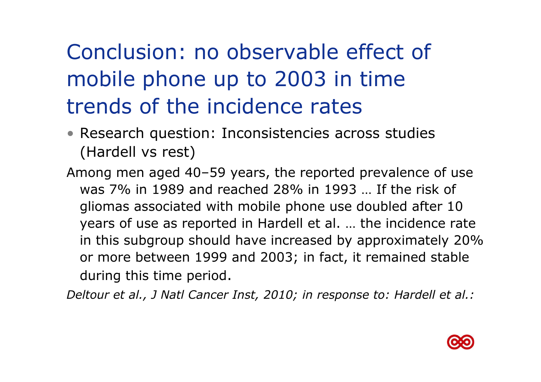# Conclusion: no observable effect of mobile phone up to 2003 in time trends of the incidence rates

- Research question: Inconsistencies across studies (Hardell vs rest)
- Among men aged 40–59 years, the reported prevalence of use was 7% in 1989 and reached 28% in 1993 … If the risk of gliomas associated with mobile phone use doubled after 10 years of use as reported in Hardell et al. … the incidence rate in this subgroup should have increased by approximately 20% or more between 1999 and 2003; in fact, it remained stable during this time period.

*Deltour et al., J Natl Cancer Inst, 2010; in response to: Hardell et al.:*

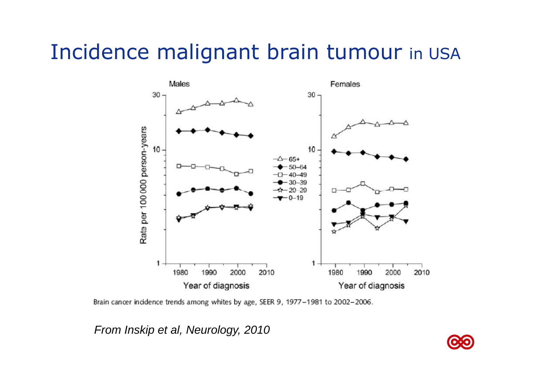### Incidence malignant brain tumour in USA



Brain cancer incidence trends among whites by age, SEER 9, 1977-1981 to 2002-2006.

From Inskip et al, Neurology, 2010

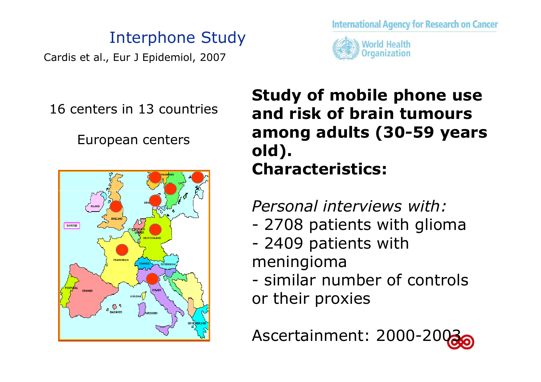#### Interphone Study

Cardis et al., Eur J Epidemiol, 2007





16 centers in 13 countries

European centers



### **Study of mobile phone use and risk of brain tumours among adults (30-59 years old). Characteristics:**

*Personal interviews with:*

- -2708 patients with glioma<br>2409 patients with
- -2409 patients with<br>
2010 paningioma meningioma
- cimilar nii similar number of controls<br>r their provies or their proxies

Ascertainment: 2000-200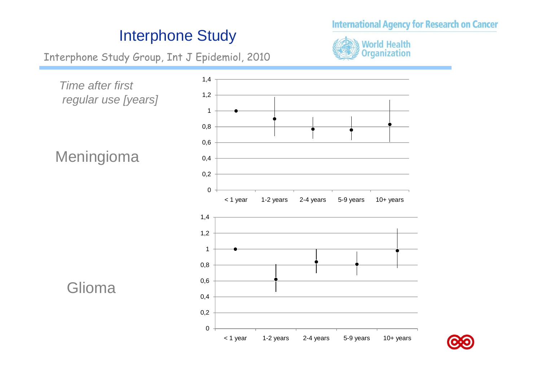#### **International Agency for Research on Cancer**

#### Interphone Study

Interphone Study Group, Int J Epidemiol, 2010





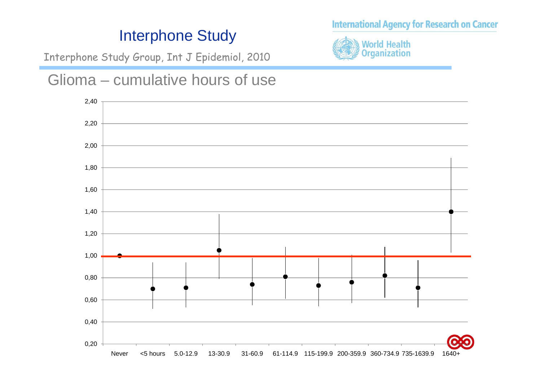#### Interphone Study

Interphone Study Group, Int J Epidemiol, 2010





**World Health Organization** 

**International Agency for Research on Cancer**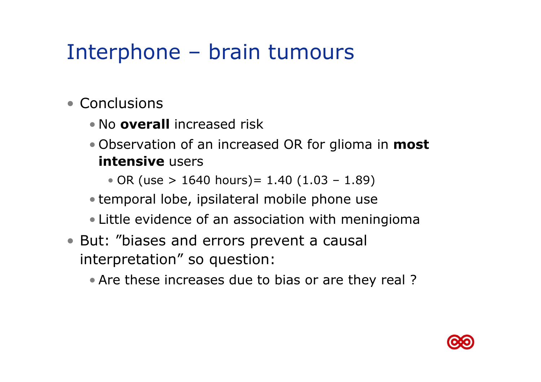### Interphone – brain tumours

- Conclusions
	- No **overall** increased risk
	- Observation of an increased OR for glioma in **most intensive** users
		- OR (use > 1640 hours)= 1.40 (1.03 1.89)
	- temporal lobe, ipsilateral mobile phone use
	- Little evidence of an association with meningioma
- But: "biases and errors prevent a causal interpretation" so question:
	- Are these increases due to bias or are they real ?

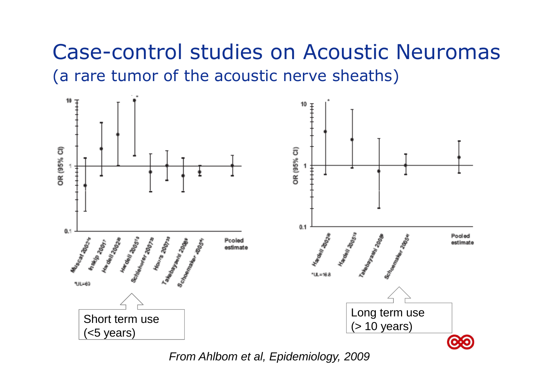### Case-control studies on Acoustic Neuromas (a rare tumor of the acoustic nerve sheaths)



From Ahlbom et al, Epidemiology, 2009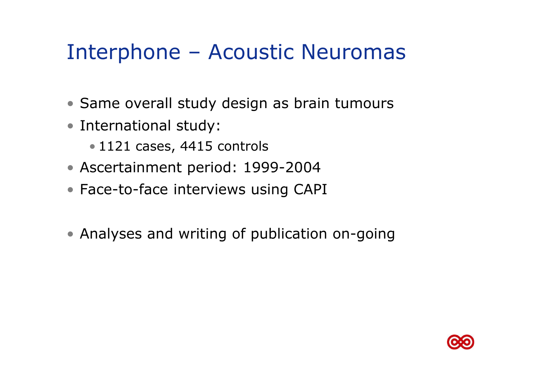### Interphone – Acoustic Neuromas

- Same overall study design as brain tumours
- International study:
	- 1121 cases, 4415 controls
- Ascertainment period: 1999-2004
- Face-to-face interviews using CAPI
- Analyses and writing of publication on-going

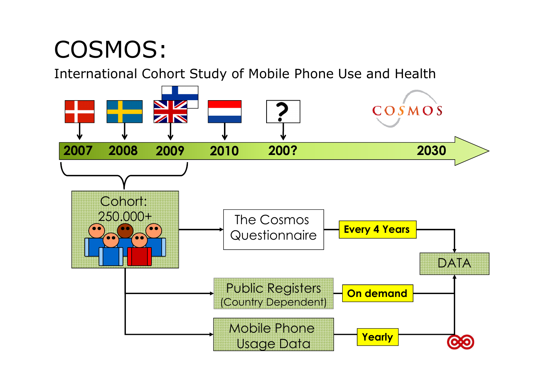# COSMOS:

International Cohort Study of Mobile Phone Use and Health

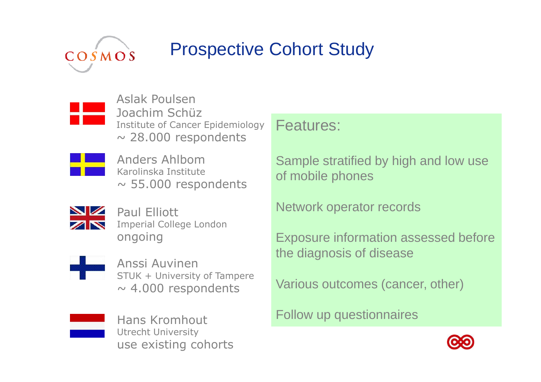

### Prospective Cohort Study



Aslak Poulsen Joachim Schüz Institute of Cancer Epidemiology $\sim$  28.000 respondents



 $\sim$  55.000 respondents

Paul Elliott Imperial College Londonongoing



Anssi Auvinen STUK + University of Tampere $\sim$  4.000 respondents

Various outcomes (cancer, other)



Hans KromhoutUtrecht University use existing cohorts

#### Features:

Sample stratified by high and low useof mobile phones

Exposure information assessed before

Network operator records

the diagnosis of disease

Follow up questionnaires

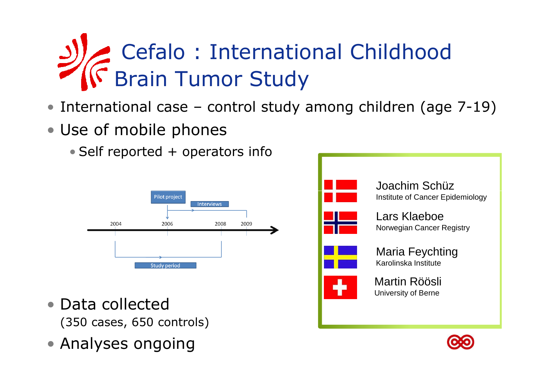# Cefalo : International Childhood Brain Tumor Study

- International case control study among children (age 7-19)
- Use of mobile phones
	- Self reported + operators info



- Data collected (350 cases, 650 controls)
- Analyses ongoing



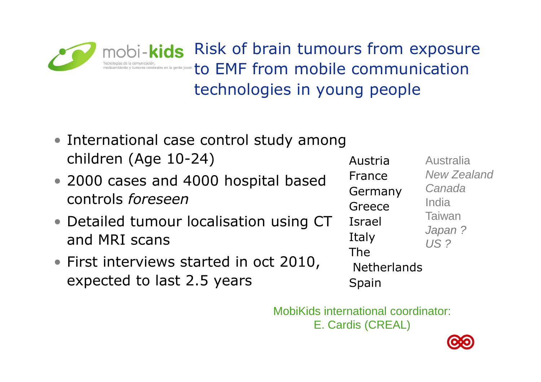mobi-kids Risk of brain tumours from exposure to EMF from mobile communication technologies in young people

- International case control study among children (Age 10-24)
- 2000 cases and 4000 hospital based controls *foreseen*
- Detailed tumour localisation using CT and MRI scans
- First interviews started in oct 2010, expected to last 2.5 years

Austria France GermanyAustralia New ZealandCanadaGreece IsraelItaly The **Netherlands** SpainIndia Taiwan Japan ?US ?